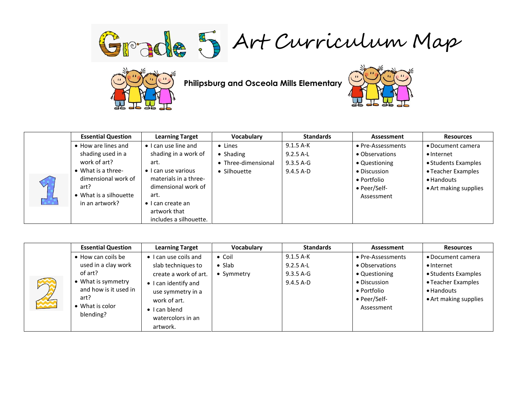Grade 5 Art Curriculum Map



**Philipsburg and Osceola Mills Elementary**



|                | <b>Essential Question</b>  | <b>Learning Target</b>       | Vocabulary          | <b>Standards</b> | Assessment        | <b>Resources</b>      |
|----------------|----------------------------|------------------------------|---------------------|------------------|-------------------|-----------------------|
|                | • How are lines and        | $\bullet$ I can use line and | • Lines             | $9.1.5$ A-K      | • Pre-Assessments | • Document camera     |
|                | shading used in a          | shading in a work of         | • Shading           | $9.2.5$ A-L      | • Observations    | $\bullet$ Internet    |
|                | work of art?               | art.                         | • Three-dimensional | $9.3.5$ A-G      | • Questioning     | • Students Examples   |
|                | $\bullet$ What is a three- | $\bullet$ I can use various  | • Silhouette        | $9.4.5$ A-D      | • Discussion      | • Teacher Examples    |
| $\overline{a}$ | dimensional work of        | materials in a three-        |                     |                  | • Portfolio       | • Handouts            |
|                | art?                       | dimensional work of          |                     |                  | • Peer/Self-      | • Art making supplies |
|                | • What is a silhouette     | art.                         |                     |                  | Assessment        |                       |
|                | in an artwork?             | $\bullet$ I can create an    |                     |                  |                   |                       |
|                |                            | artwork that                 |                     |                  |                   |                       |
|                |                            | includes a silhouette.       |                     |                  |                   |                       |

| <b>AND</b> | <b>Essential Question</b> | <b>Learning Target</b>        | Vocabulary     | <b>Standards</b> | Assessment        | <b>Resources</b>      |
|------------|---------------------------|-------------------------------|----------------|------------------|-------------------|-----------------------|
|            | • How can coils be        | $\bullet$ I can use coils and | $\bullet$ Coil | $9.1.5A-K$       | • Pre-Assessments | • Document camera     |
|            | used in a clay work       | slab techniques to            | $\bullet$ Slab | $9.2.5$ A-L      | • Observations    | $\bullet$ Internet    |
|            | of art?                   | create a work of art.         | • Symmetry     | 9.3.5 A-G        | • Questioning     | • Students Examples   |
|            | • What is symmetry        | • I can identify and          |                | $9.4.5 A-D$      | • Discussion      | • Teacher Examples    |
|            | and how is it used in     | use symmetry in a             |                |                  | • Portfolio       | • Handouts            |
|            | art?                      | work of art.                  |                |                  | • Peer/Self-      | • Art making supplies |
|            | What is color             | $\bullet$ I can blend         |                |                  | Assessment        |                       |
|            | blending?                 | watercolors in an             |                |                  |                   |                       |
|            |                           | artwork.                      |                |                  |                   |                       |